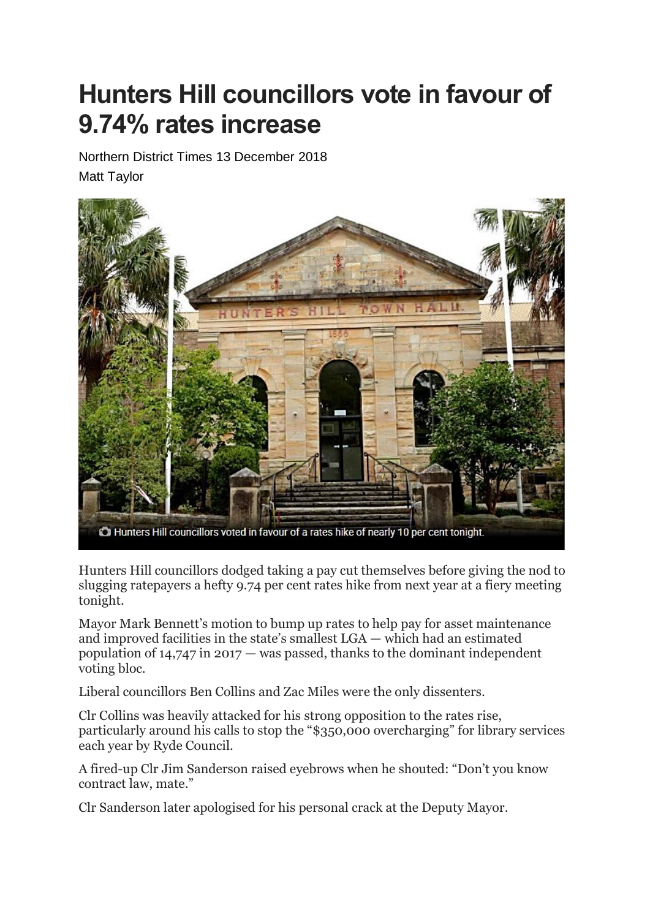## **Hunters Hill councillors vote in favour of 9.74% rates increase**

Northern District Times 13 December 2018 Matt Taylor



Hunters Hill councillors dodged taking a pay cut themselves before giving the nod to slugging ratepayers a hefty 9.74 per cent rates hike from next year at a fiery meeting tonight.

Mayor Mark Bennett's motion to bump up rates to help pay for asset maintenance and improved facilities in the state's smallest LGA — which had an estimated population of 14,747 in 2017 — was passed, thanks to the dominant independent voting bloc.

Liberal councillors Ben Collins and Zac Miles were the only dissenters.

Clr Collins was heavily attacked for his strong opposition to the rates rise, particularly around his calls to stop the "\$350,000 overcharging" for library services each year by Ryde Council.

A fired-up Clr Jim Sanderson raised eyebrows when he shouted: "Don't you know contract law, mate."

Clr Sanderson later apologised for his personal crack at the Deputy Mayor.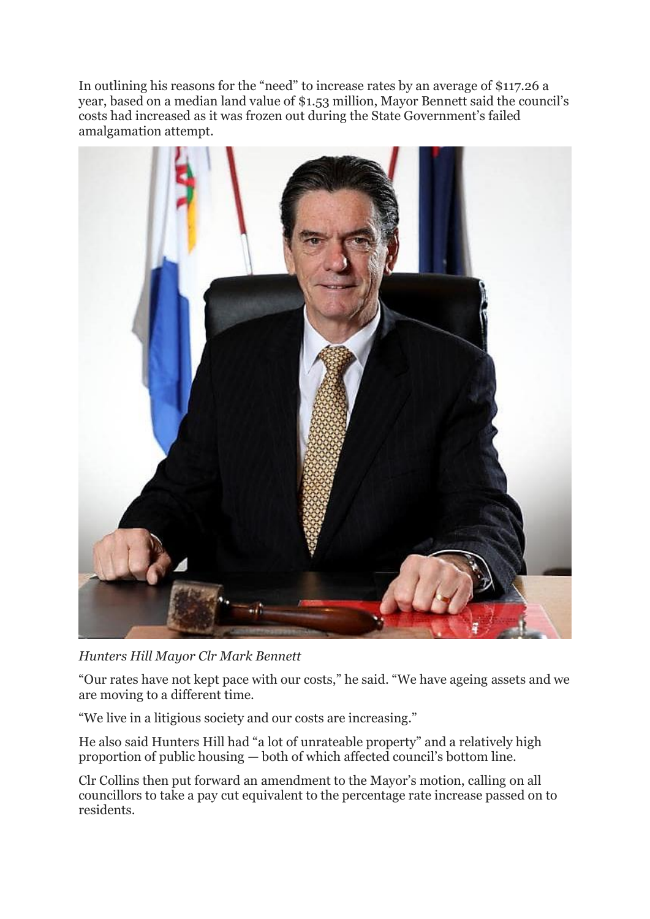In outlining his reasons for the "need" to increase rates by an average of \$117.26 a year, based on a median land value of \$1.53 million, Mayor Bennett said the council's costs had increased as it was frozen out during the State Government's failed amalgamation attempt.



*Hunters Hill Mayor Clr Mark Bennett*

"Our rates have not kept pace with our costs," he said. "We have ageing assets and we are moving to a different time.

"We live in a litigious society and our costs are increasing."

He also said Hunters Hill had "a lot of unrateable property" and a relatively high proportion of public housing — both of which affected council's bottom line.

Clr Collins then put forward an amendment to the Mayor's motion, calling on all councillors to take a pay cut equivalent to the percentage rate increase passed on to residents.